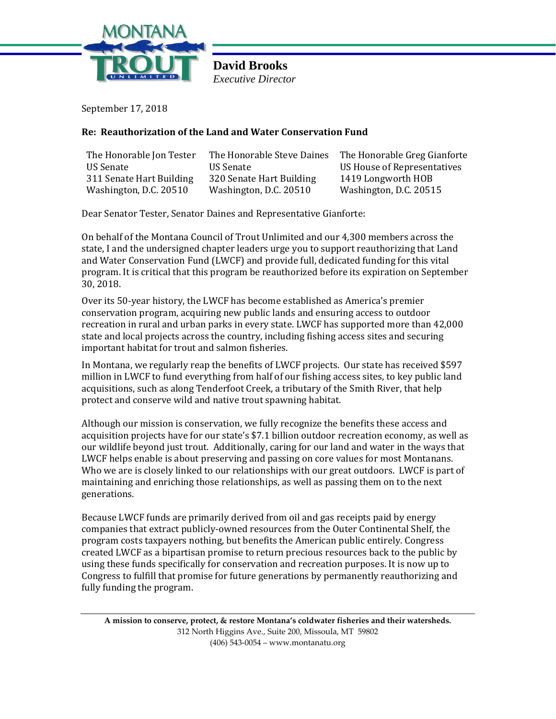

**David Brooks** *Executive Director* 

September 17, 2018

## **Re: Reauthorization of the Land and Water Conservation Fund**

| The Honorable Jon Tester | The Honorable Steve Daines | The Honorable Greg Gianforte       |
|--------------------------|----------------------------|------------------------------------|
| US Senate                | US Senate                  | <b>US House of Representatives</b> |
| 311 Senate Hart Building | 320 Senate Hart Building   | 1419 Longworth HOB                 |
| Washington, D.C. 20510   | Washington, D.C. 20510     | Washington, D.C. 20515             |

Dear Senator Tester, Senator Daines and Representative Gianforte:

On behalf of the Montana Council of Trout Unlimited and our 4,300 members across the state, I and the undersigned chapter leaders urge you to support reauthorizing that Land and Water Conservation Fund (LWCF) and provide full, dedicated funding for this vital program. It is critical that this program be reauthorized before its expiration on September 30, 2018.

Over its 50-year history, the LWCF has become established as America's premier conservation program, acquiring new public lands and ensuring access to outdoor recreation in rural and urban parks in every state. LWCF has supported more than 42,000 state and local projects across the country, including fishing access sites and securing important habitat for trout and salmon fisheries.

In Montana, we regularly reap the benefits of LWCF projects. Our state has received \$597 million in LWCF to fund everything from half of our fishing access sites, to key public land acquisitions, such as along Tenderfoot Creek, a tributary of the Smith River, that help protect and conserve wild and native trout spawning habitat.

Although our mission is conservation, we fully recognize the benefits these access and acquisition projects have for our state's \$7.1 billion outdoor recreation economy, as well as our wildlife beyond just trout. Additionally, caring for our land and water in the ways that LWCF helps enable is about preserving and passing on core values for most Montanans. Who we are is closely linked to our relationships with our great outdoors. LWCF is part of maintaining and enriching those relationships, as well as passing them on to the next generations.

Because LWCF funds are primarily derived from oil and gas receipts paid by energy companies that extract publicly-owned resources from the Outer Continental Shelf, the program costs taxpayers nothing, but benefits the American public entirely. Congress created LWCF as a bipartisan promise to return precious resources back to the public by using these funds specifically for conservation and recreation purposes. It is now up to Congress to fulfill that promise for future generations by permanently reauthorizing and fully funding the program.

**A mission to conserve, protect, & restore Montana's coldwater fisheries and their watersheds.** 312 North Higgins Ave., Suite 200, Missoula, MT 59802 (406) 543-0054 – www.montanatu.org